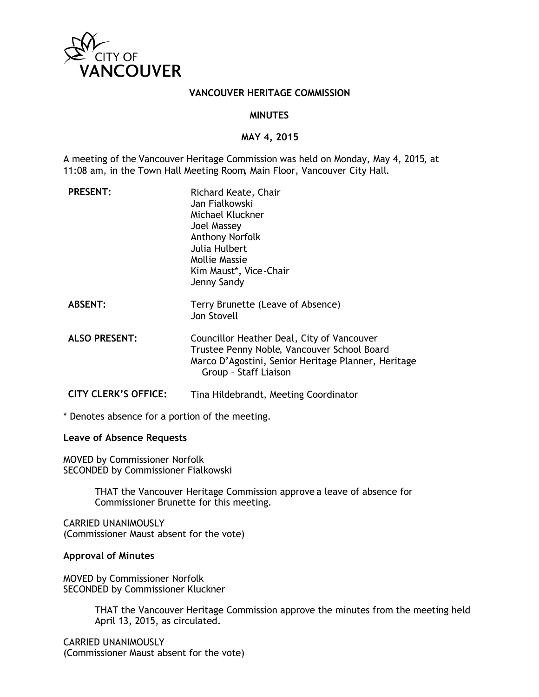

## **VANCOUVER HERITAGE COMMISSION**

## **MINUTES**

## **MAY 4, 2015**

A meeting of the Vancouver Heritage Commission was held on Monday, May 4, 2015, at 11:08 am, in the Town Hall Meeting Room, Main Floor, Vancouver City Hall.

| <b>PRESENT:</b>             | Richard Keate, Chair<br>Jan Fialkowski<br>Michael Kluckner<br>Joel Massey<br><b>Anthony Norfolk</b><br>Julia Hulbert<br>Mollie Massie<br>Kim Maust*, Vice-Chair<br>Jenny Sandy |
|-----------------------------|--------------------------------------------------------------------------------------------------------------------------------------------------------------------------------|
| <b>ABSENT:</b>              | Terry Brunette (Leave of Absence)<br>Jon Stovell                                                                                                                               |
| <b>ALSO PRESENT:</b>        | Councillor Heather Deal, City of Vancouver<br>Trustee Penny Noble, Vancouver School Board<br>Marco D'Agostini, Senior Heritage Planner, Heritage<br>Group - Staff Liaison      |
| <b>CITY CLERK'S OFFICE:</b> | Tina Hildebrandt, Meeting Coordinator                                                                                                                                          |

\* Denotes absence for a portion of the meeting.

# **Leave of Absence Requests**

MOVED by Commissioner Norfolk SECONDED by Commissioner Fialkowski

> THAT the Vancouver Heritage Commission approve a leave of absence for Commissioner Brunette for this meeting.

CARRIED UNANIMOUSLY (Commissioner Maust absent for the vote)

#### **Approval of Minutes**

MOVED by Commissioner Norfolk SECONDED by Commissioner Kluckner

> THAT the Vancouver Heritage Commission approve the minutes from the meeting held April 13, 2015, as circulated.

CARRIED UNANIMOUSLY (Commissioner Maust absent for the vote)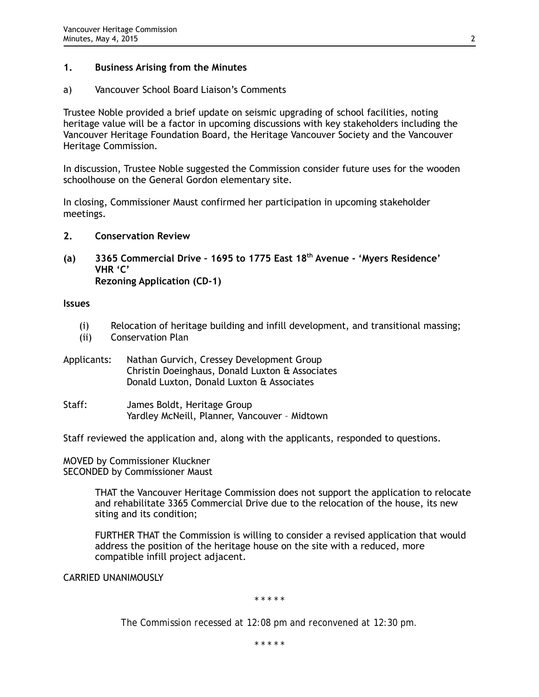# **1. Business Arising from the Minutes**

a) Vancouver School Board Liaison's Comments

Trustee Noble provided a brief update on seismic upgrading of school facilities, noting heritage value will be a factor in upcoming discussions with key stakeholders including the Vancouver Heritage Foundation Board, the Heritage Vancouver Society and the Vancouver Heritage Commission.

In discussion, Trustee Noble suggested the Commission consider future uses for the wooden schoolhouse on the General Gordon elementary site.

In closing, Commissioner Maust confirmed her participation in upcoming stakeholder meetings.

- **2. Conservation Review**
- **(a) 3365 Commercial Drive 1695 to 1775 East 18th Avenue 'Myers Residence' VHR 'C' Rezoning Application (CD-1)**

**Issues**

- (i) Relocation of heritage building and infill development, and transitional massing;
- (ii) Conservation Plan
- Applicants: Nathan Gurvich, Cressey Development Group Christin Doeinghaus, Donald Luxton & Associates Donald Luxton, Donald Luxton & Associates
- Staff: James Boldt, Heritage Group Yardley McNeill, Planner, Vancouver – Midtown

Staff reviewed the application and, along with the applicants, responded to questions.

MOVED by Commissioner Kluckner SECONDED by Commissioner Maust

> THAT the Vancouver Heritage Commission does not support the application to relocate and rehabilitate 3365 Commercial Drive due to the relocation of the house, its new siting and its condition;

FURTHER THAT the Commission is willing to consider a revised application that would address the position of the heritage house on the site with a reduced, more compatible infill project adjacent.

CARRIED UNANIMOUSLY

*\* \* \* \* \**

*The Commission recessed at 12:08 pm and reconvened at 12:30 pm.*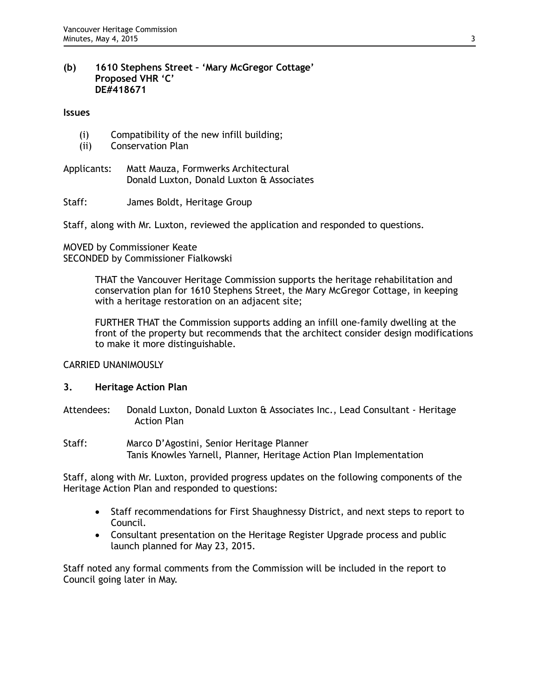## **(b) 1610 Stephens Street – 'Mary McGregor Cottage' Proposed VHR 'C' DE#418671**

#### **Issues**

- (i) Compatibility of the new infill building;
- (ii) Conservation Plan
- Applicants: Matt Mauza, Formwerks Architectural Donald Luxton, Donald Luxton & Associates
- Staff: James Boldt, Heritage Group

Staff, along with Mr. Luxton, reviewed the application and responded to questions.

MOVED by Commissioner Keate SECONDED by Commissioner Fialkowski

> THAT the Vancouver Heritage Commission supports the heritage rehabilitation and conservation plan for 1610 Stephens Street, the Mary McGregor Cottage, in keeping with a heritage restoration on an adjacent site;

FURTHER THAT the Commission supports adding an infill one-family dwelling at the front of the property but recommends that the architect consider design modifications to make it more distinguishable.

## CARRIED UNANIMOUSLY

## **3. Heritage Action Plan**

- Attendees: Donald Luxton, Donald Luxton & Associates Inc., Lead Consultant Heritage Action Plan
- Staff: Marco D'Agostini, Senior Heritage Planner Tanis Knowles Yarnell, Planner, Heritage Action Plan Implementation

Staff, along with Mr. Luxton, provided progress updates on the following components of the Heritage Action Plan and responded to questions:

- Staff recommendations for First Shaughnessy District, and next steps to report to Council.
- Consultant presentation on the Heritage Register Upgrade process and public launch planned for May 23, 2015.

Staff noted any formal comments from the Commission will be included in the report to Council going later in May.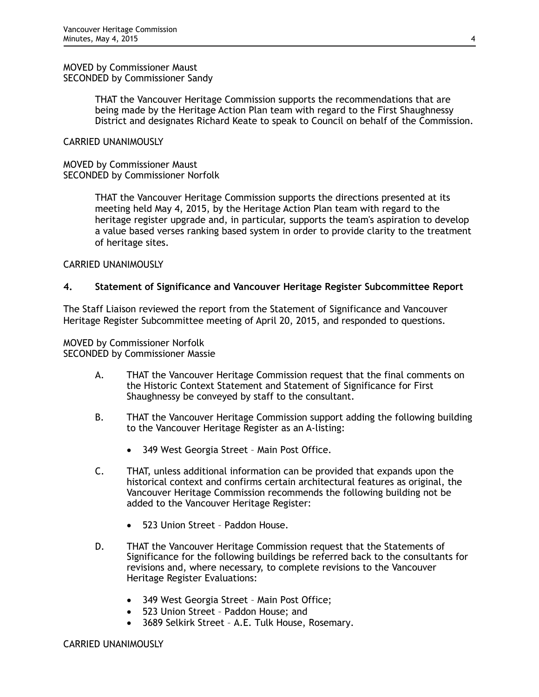#### MOVED by Commissioner Maust SECONDED by Commissioner Sandy

THAT the Vancouver Heritage Commission supports the recommendations that are being made by the Heritage Action Plan team with regard to the First Shaughnessy District and designates Richard Keate to speak to Council on behalf of the Commission.

# CARRIED UNANIMOUSLY

MOVED by Commissioner Maust SECONDED by Commissioner Norfolk

> THAT the Vancouver Heritage Commission supports the directions presented at its meeting held May 4, 2015, by the Heritage Action Plan team with regard to the heritage register upgrade and, in particular, supports the team's aspiration to develop a value based verses ranking based system in order to provide clarity to the treatment of heritage sites.

# CARRIED UNANIMOUSLY

# **4. Statement of Significance and Vancouver Heritage Register Subcommittee Report**

The Staff Liaison reviewed the report from the Statement of Significance and Vancouver Heritage Register Subcommittee meeting of April 20, 2015, and responded to questions.

MOVED by Commissioner Norfolk SECONDED by Commissioner Massie

- A. THAT the Vancouver Heritage Commission request that the final comments on the Historic Context Statement and Statement of Significance for First Shaughnessy be conveyed by staff to the consultant.
- B. THAT the Vancouver Heritage Commission support adding the following building to the Vancouver Heritage Register as an A-listing:
	- 349 West Georgia Street Main Post Office.
- C. THAT, unless additional information can be provided that expands upon the historical context and confirms certain architectural features as original, the Vancouver Heritage Commission recommends the following building not be added to the Vancouver Heritage Register:
	- 523 Union Street Paddon House.
- D. THAT the Vancouver Heritage Commission request that the Statements of Significance for the following buildings be referred back to the consultants for revisions and, where necessary, to complete revisions to the Vancouver Heritage Register Evaluations:
	- 349 West Georgia Street Main Post Office;
	- 523 Union Street Paddon House; and
	- 3689 Selkirk Street A.E. Tulk House, Rosemary.